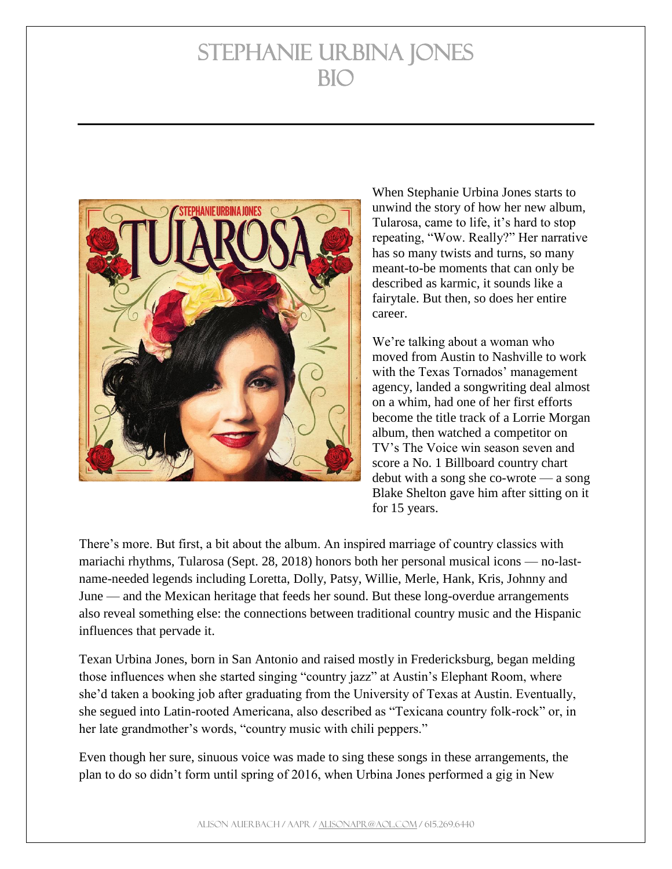

When Stephanie Urbina Jones starts to unwind the story of how her new album, Tularosa, came to life, it's hard to stop repeating, "Wow. Really?" Her narrative has so many twists and turns, so many meant-to-be moments that can only be described as karmic, it sounds like a fairytale. But then, so does her entire career.

We're talking about a woman who moved from Austin to Nashville to work with the Texas Tornados' management agency, landed a songwriting deal almost on a whim, had one of her first efforts become the title track of a Lorrie Morgan album, then watched a competitor on TV's The Voice win season seven and score a No. 1 Billboard country chart debut with a song she co-wrote — a song Blake Shelton gave him after sitting on it for 15 years.

There's more. But first, a bit about the album. An inspired marriage of country classics with mariachi rhythms, Tularosa (Sept. 28, 2018) honors both her personal musical icons — no-lastname-needed legends including Loretta, Dolly, Patsy, Willie, Merle, Hank, Kris, Johnny and June — and the Mexican heritage that feeds her sound. But these long-overdue arrangements also reveal something else: the connections between traditional country music and the Hispanic influences that pervade it.

Texan Urbina Jones, born in San Antonio and raised mostly in Fredericksburg, began melding those influences when she started singing "country jazz" at Austin's Elephant Room, where she'd taken a booking job after graduating from the University of Texas at Austin. Eventually, she segued into Latin-rooted Americana, also described as "Texicana country folk-rock" or, in her late grandmother's words, "country music with chili peppers."

Even though her sure, sinuous voice was made to sing these songs in these arrangements, the plan to do so didn't form until spring of 2016, when Urbina Jones performed a gig in New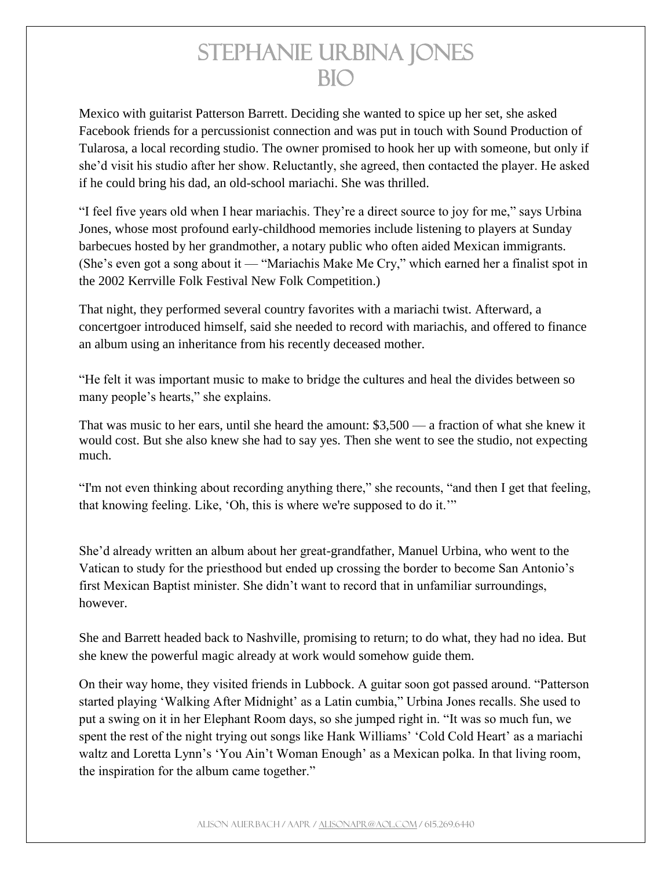Mexico with guitarist Patterson Barrett. Deciding she wanted to spice up her set, she asked Facebook friends for a percussionist connection and was put in touch with Sound Production of Tularosa, a local recording studio. The owner promised to hook her up with someone, but only if she'd visit his studio after her show. Reluctantly, she agreed, then contacted the player. He asked if he could bring his dad, an old-school mariachi. She was thrilled.

"I feel five years old when I hear mariachis. They're a direct source to joy for me," says Urbina Jones, whose most profound early-childhood memories include listening to players at Sunday barbecues hosted by her grandmother, a notary public who often aided Mexican immigrants. (She's even got a song about it — "Mariachis Make Me Cry," which earned her a finalist spot in the 2002 Kerrville Folk Festival New Folk Competition.)

That night, they performed several country favorites with a mariachi twist. Afterward, a concertgoer introduced himself, said she needed to record with mariachis, and offered to finance an album using an inheritance from his recently deceased mother.

"He felt it was important music to make to bridge the cultures and heal the divides between so many people's hearts," she explains.

That was music to her ears, until she heard the amount: \$3,500 — a fraction of what she knew it would cost. But she also knew she had to say yes. Then she went to see the studio, not expecting much.

"I'm not even thinking about recording anything there," she recounts, "and then I get that feeling, that knowing feeling. Like, 'Oh, this is where we're supposed to do it.'"

She'd already written an album about her great-grandfather, Manuel Urbina, who went to the Vatican to study for the priesthood but ended up crossing the border to become San Antonio's first Mexican Baptist minister. She didn't want to record that in unfamiliar surroundings, however.

She and Barrett headed back to Nashville, promising to return; to do what, they had no idea. But she knew the powerful magic already at work would somehow guide them.

On their way home, they visited friends in Lubbock. A guitar soon got passed around. "Patterson started playing 'Walking After Midnight' as a Latin cumbia," Urbina Jones recalls. She used to put a swing on it in her Elephant Room days, so she jumped right in. "It was so much fun, we spent the rest of the night trying out songs like Hank Williams' 'Cold Cold Heart' as a mariachi waltz and Loretta Lynn's 'You Ain't Woman Enough' as a Mexican polka. In that living room, the inspiration for the album came together."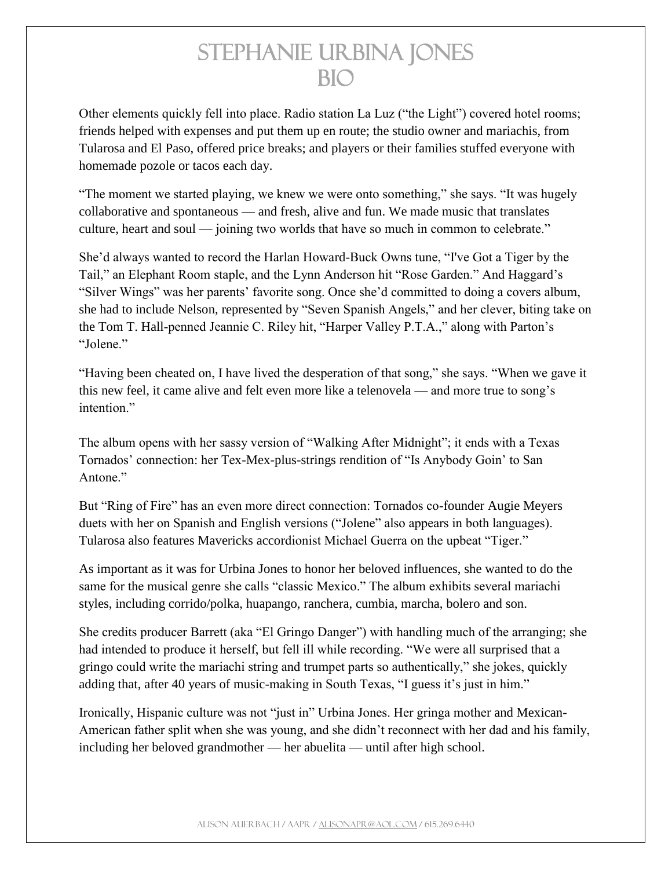Other elements quickly fell into place. Radio station La Luz ("the Light") covered hotel rooms; friends helped with expenses and put them up en route; the studio owner and mariachis, from Tularosa and El Paso, offered price breaks; and players or their families stuffed everyone with homemade pozole or tacos each day.

"The moment we started playing, we knew we were onto something," she says. "It was hugely collaborative and spontaneous — and fresh, alive and fun. We made music that translates culture, heart and soul — joining two worlds that have so much in common to celebrate."

She'd always wanted to record the Harlan Howard-Buck Owns tune, "I've Got a Tiger by the Tail," an Elephant Room staple, and the Lynn Anderson hit "Rose Garden." And Haggard's "Silver Wings" was her parents' favorite song. Once she'd committed to doing a covers album, she had to include Nelson, represented by "Seven Spanish Angels," and her clever, biting take on the Tom T. Hall-penned Jeannie C. Riley hit, "Harper Valley P.T.A.," along with Parton's "Jolene."

"Having been cheated on, I have lived the desperation of that song," she says. "When we gave it this new feel, it came alive and felt even more like a telenovela — and more true to song's intention."

The album opens with her sassy version of "Walking After Midnight"; it ends with a Texas Tornados' connection: her Tex-Mex-plus-strings rendition of "Is Anybody Goin' to San Antone."

But "Ring of Fire" has an even more direct connection: Tornados co-founder Augie Meyers duets with her on Spanish and English versions ("Jolene" also appears in both languages). Tularosa also features Mavericks accordionist Michael Guerra on the upbeat "Tiger."

As important as it was for Urbina Jones to honor her beloved influences, she wanted to do the same for the musical genre she calls "classic Mexico." The album exhibits several mariachi styles, including corrido/polka, huapango, ranchera, cumbia, marcha, bolero and son.

She credits producer Barrett (aka "El Gringo Danger") with handling much of the arranging; she had intended to produce it herself, but fell ill while recording. "We were all surprised that a gringo could write the mariachi string and trumpet parts so authentically," she jokes, quickly adding that, after 40 years of music-making in South Texas, "I guess it's just in him."

Ironically, Hispanic culture was not "just in" Urbina Jones. Her gringa mother and Mexican-American father split when she was young, and she didn't reconnect with her dad and his family, including her beloved grandmother — her abuelita — until after high school.